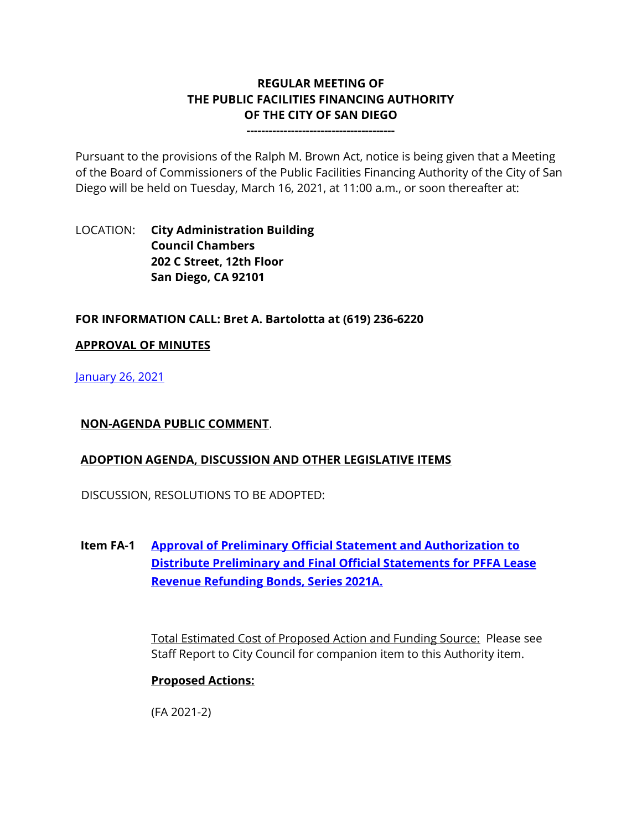# **REGULAR MEETING OF THE PUBLIC FACILITIES FINANCING AUTHORITY OF THE CITY OF SAN DIEGO**

**----------------------------------------**

Pursuant to the provisions of the Ralph M. Brown Act, notice is being given that a Meeting of the Board of Commissioners of the Public Facilities Financing Authority of the City of San Diego will be held on Tuesday, March 16, 2021, at 11:00 a.m., or soon thereafter at:

## LOCATION: **City Administration Building Council Chambers 202 C Street, 12th Floor San Diego, CA 92101**

### **FOR INFORMATION CALL: Bret A. Bartolotta at (619) 236-6220**

#### **APPROVAL OF MINUTES**

[January 26, 2021](https://www.sandiego.gov/sites/default/files/0126pffa_-_minutes.pdf)

### **NON-AGENDA PUBLIC COMMENT**.

### **ADOPTION AGENDA, DISCUSSION AND OTHER LEGISLATIVE ITEMS**

DISCUSSION, RESOLUTIONS TO BE ADOPTED:

**Item FA-1 [Approval of Preliminary Official Statement and Authorization to](http://www.sandiego.gov/sites/default/files/combine_pffa.pdf)  [Distribute Preliminary and Final Official Statements for PFFA Lease](http://www.sandiego.gov/sites/default/files/combine_pffa.pdf)  [Revenue Refunding Bonds, Series 2021A.](http://www.sandiego.gov/sites/default/files/combine_pffa.pdf)**

> Total Estimated Cost of Proposed Action and Funding Source: Please see Staff Report to City Council for companion item to this Authority item.

### **Proposed Actions:**

(FA 2021-2)